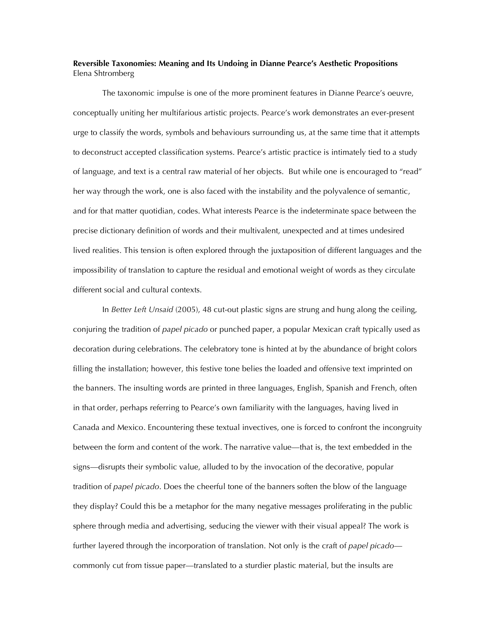## **Reversible Taxonomies: Meaning and Its Undoing in Dianne Pearce's Aesthetic Propositions** Elena Shtromberg

The taxonomic impulse is one of the more prominent features in Dianne Pearce's oeuvre, conceptually uniting her multifarious artistic projects. Pearce's work demonstrates an ever-present urge to classify the words, symbols and behaviours surrounding us, at the same time that it attempts to deconstruct accepted classification systems. Pearce's artistic practice is intimately tied to a study of language, and text is a central raw material of her objects. But while one is encouraged to "read" her way through the work, one is also faced with the instability and the polyvalence of semantic, and for that matter quotidian, codes. What interests Pearce is the indeterminate space between the precise dictionary definition of words and their multivalent, unexpected and at times undesired lived realities. This tension is often explored through the juxtaposition of different languages and the impossibility of translation to capture the residual and emotional weight of words as they circulate different social and cultural contexts.

In *Better Left Unsaid* (2005), 48 cut-out plastic signs are strung and hung along the ceiling, conjuring the tradition of *papel picado* or punched paper, a popular Mexican craft typically used as decoration during celebrations. The celebratory tone is hinted at by the abundance of bright colors filling the installation; however, this festive tone belies the loaded and offensive text imprinted on the banners. The insulting words are printed in three languages, English, Spanish and French, often in that order, perhaps referring to Pearce's own familiarity with the languages, having lived in Canada and Mexico. Encountering these textual invectives, one is forced to confront the incongruity between the form and content of the work. The narrative value—that is, the text embedded in the signs—disrupts their symbolic value, alluded to by the invocation of the decorative, popular tradition of *papel picado*. Does the cheerful tone of the banners soften the blow of the language they display? Could this be a metaphor for the many negative messages proliferating in the public sphere through media and advertising, seducing the viewer with their visual appeal? The work is further layered through the incorporation of translation. Not only is the craft of *papel picado* commonly cut from tissue paper—translated to a sturdier plastic material, but the insults are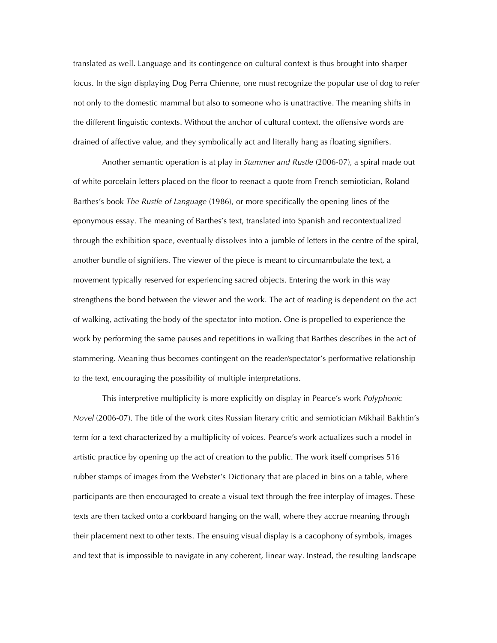translated as well. Language and its contingence on cultural context is thus brought into sharper focus. In the sign displaying Dog Perra Chienne, one must recognize the popular use of dog to refer not only to the domestic mammal but also to someone who is unattractive. The meaning shifts in the different linguistic contexts. Without the anchor of cultural context, the offensive words are drained of affective value, and they symbolically act and literally hang as floating signifiers.

Another semantic operation is at play in *Stammer and Rustle* (2006-07), a spiral made out of white porcelain letters placed on the floor to reenact a quote from French semiotician, Roland Barthes's book *The Rustle of Language* (1986), or more specifically the opening lines of the eponymous essay. The meaning of Barthes's text, translated into Spanish and recontextualized through the exhibition space, eventually dissolves into a jumble of letters in the centre of the spiral, another bundle of signifiers. The viewer of the piece is meant to circumambulate the text, a movement typically reserved for experiencing sacred objects. Entering the work in this way strengthens the bond between the viewer and the work. The act of reading is dependent on the act of walking, activating the body of the spectator into motion. One is propelled to experience the work by performing the same pauses and repetitions in walking that Barthes describes in the act of stammering. Meaning thus becomes contingent on the reader/spectator's performative relationship to the text, encouraging the possibility of multiple interpretations.

This interpretive multiplicity is more explicitly on display in Pearce's work *Polyphonic Novel* (2006-07). The title of the work cites Russian literary critic and semiotician Mikhail Bakhtin's term for a text characterized by a multiplicity of voices. Pearce's work actualizes such a model in artistic practice by opening up the act of creation to the public. The work itself comprises 516 rubber stamps of images from the Webster's Dictionary that are placed in bins on a table, where participants are then encouraged to create a visual text through the free interplay of images. These texts are then tacked onto a corkboard hanging on the wall, where they accrue meaning through their placement next to other texts. The ensuing visual display is a cacophony of symbols, images and text that is impossible to navigate in any coherent, linear way. Instead, the resulting landscape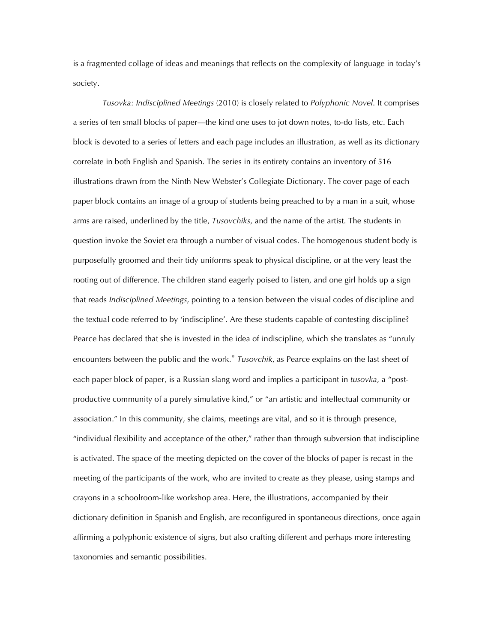is a fragmented collage of ideas and meanings that reflects on the complexity of language in today's society.

*Tusovka: Indisciplined Meetings* (2010) is closely related to *Polyphonic Novel*. It comprises a series of ten small blocks of paper—the kind one uses to jot down notes, to-do lists, etc. Each block is devoted to a series of letters and each page includes an illustration, as well as its dictionary correlate in both English and Spanish. The series in its entirety contains an inventory of 516 illustrations drawn from the Ninth New Webster's Collegiate Dictionary. The cover page of each paper block contains an image of a group of students being preached to by a man in a suit, whose arms are raised, underlined by the title, *Tusovchiks*, and the name of the artist. The students in question invoke the Soviet era through a number of visual codes. The homogenous student body is purposefully groomed and their tidy uniforms speak to physical discipline, or at the very least the rooting out of difference. The children stand eagerly poised to listen, and one girl holds up a sign that reads *Indisciplined Meetings*, pointing to a tension between the visual codes of discipline and the textual code referred to by 'indiscipline'. Are these students capable of contesting discipline? Pearce has declared that she is invested in the idea of indiscipline, which she translates as "unruly encounters between the public and the work." *Tusovchik*, as Pearce explains on the last sheet of each paper block of paper, is a Russian slang word and implies a participant in *tusovka*, a "postproductive community of a purely simulative kind," or "an artistic and intellectual community or association." In this community, she claims, meetings are vital, and so it is through presence, "individual flexibility and acceptance of the other," rather than through subversion that indiscipline is activated. The space of the meeting depicted on the cover of the blocks of paper is recast in the meeting of the participants of the work, who are invited to create as they please, using stamps and crayons in a schoolroom-like workshop area. Here, the illustrations, accompanied by their dictionary definition in Spanish and English, are reconfigured in spontaneous directions, once again affirming a polyphonic existence of signs, but also crafting different and perhaps more interesting taxonomies and semantic possibilities.